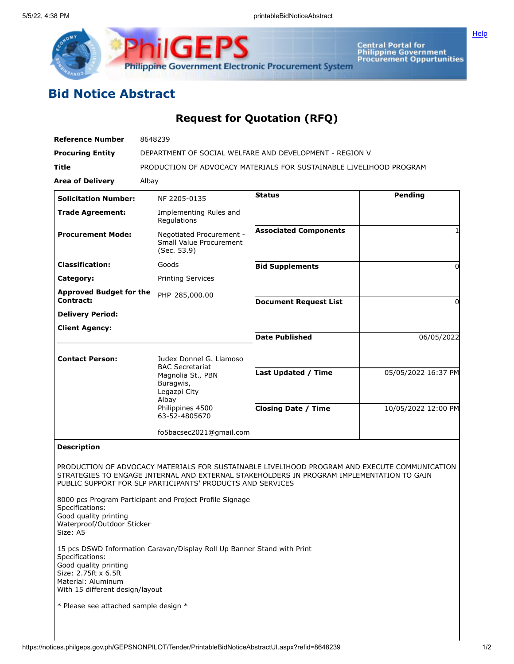

**ilGEPS Philippine Government Electronic Procurement System** 

**Central Portal for<br>Philippine Government<br>Procurement Oppurtunities** 

## **Bid Notice Abstract**

## **Request for Quotation (RFQ)**

| <b>Reference Number</b>                                                                                                   | 8648239                                                                           |                                                                                                                                                                                            |                     |
|---------------------------------------------------------------------------------------------------------------------------|-----------------------------------------------------------------------------------|--------------------------------------------------------------------------------------------------------------------------------------------------------------------------------------------|---------------------|
| <b>Procuring Entity</b>                                                                                                   | DEPARTMENT OF SOCIAL WELFARE AND DEVELOPMENT - REGION V                           |                                                                                                                                                                                            |                     |
| Title                                                                                                                     | PRODUCTION OF ADVOCACY MATERIALS FOR SUSTAINABLE LIVELIHOOD PROGRAM               |                                                                                                                                                                                            |                     |
| <b>Area of Delivery</b>                                                                                                   | Albay                                                                             |                                                                                                                                                                                            |                     |
| <b>Solicitation Number:</b>                                                                                               | NF 2205-0135                                                                      | <b>Status</b>                                                                                                                                                                              | Pending             |
| <b>Trade Agreement:</b>                                                                                                   | Implementing Rules and<br>Regulations                                             |                                                                                                                                                                                            |                     |
| <b>Procurement Mode:</b>                                                                                                  | Negotiated Procurement -<br>Small Value Procurement<br>(Sec. 53.9)                | <b>Associated Components</b>                                                                                                                                                               |                     |
| <b>Classification:</b>                                                                                                    | Goods                                                                             | <b>Bid Supplements</b>                                                                                                                                                                     | 0                   |
| Category:                                                                                                                 | <b>Printing Services</b>                                                          |                                                                                                                                                                                            |                     |
| <b>Approved Budget for the</b>                                                                                            | PHP 285,000.00                                                                    |                                                                                                                                                                                            |                     |
| <b>Contract:</b>                                                                                                          |                                                                                   | <b>Document Request List</b>                                                                                                                                                               | 0                   |
| <b>Delivery Period:</b>                                                                                                   |                                                                                   |                                                                                                                                                                                            |                     |
| <b>Client Agency:</b>                                                                                                     |                                                                                   | <b>Date Published</b>                                                                                                                                                                      | 06/05/2022          |
|                                                                                                                           |                                                                                   |                                                                                                                                                                                            |                     |
| <b>Contact Person:</b>                                                                                                    | Judex Donnel G. Llamoso                                                           |                                                                                                                                                                                            |                     |
|                                                                                                                           | <b>BAC Secretariat</b><br>Magnolia St., PBN<br>Buragwis,<br>Legazpi City<br>Albay | <b>Last Updated / Time</b>                                                                                                                                                                 | 05/05/2022 16:37 PM |
|                                                                                                                           | Philippines 4500<br>63-52-4805670                                                 | <b>Closing Date / Time</b>                                                                                                                                                                 | 10/05/2022 12:00 PM |
|                                                                                                                           | fo5bacsec2021@gmail.com                                                           |                                                                                                                                                                                            |                     |
| <b>Description</b>                                                                                                        |                                                                                   |                                                                                                                                                                                            |                     |
|                                                                                                                           | PUBLIC SUPPORT FOR SLP PARTICIPANTS' PRODUCTS AND SERVICES                        | PRODUCTION OF ADVOCACY MATERIALS FOR SUSTAINABLE LIVELIHOOD PROGRAM AND EXECUTE COMMUNICATION<br>STRATEGIES TO ENGAGE INTERNAL AND EXTERNAL STAKEHOLDERS IN PROGRAM IMPLEMENTATION TO GAIN |                     |
| Specifications:<br>Good quality printing<br>Waterproof/Outdoor Sticker<br>Size: A5                                        | 8000 pcs Program Participant and Project Profile Signage                          |                                                                                                                                                                                            |                     |
| Specifications:<br>Good quality printing<br>Size: 2.75ft x 6.5ft<br>Material: Aluminum<br>With 15 different design/layout | 15 pcs DSWD Information Caravan/Display Roll Up Banner Stand with Print           |                                                                                                                                                                                            |                     |
| * Please see attached sample design *                                                                                     |                                                                                   |                                                                                                                                                                                            |                     |